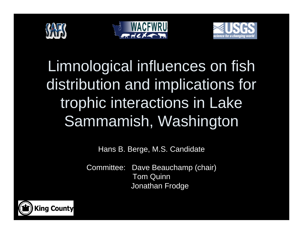





Limnological influences on fish distribution and implications for trophic interactions in Lake Sammamish, Washington

Hans B. Berge, M.S. Candidate

Committee: Dave Beauchamp (chair) Tom Quinn Jonathan Frodge

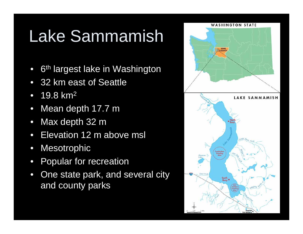# Lake Sammamish

- •6<sup>th</sup> largest lake in Washington
- $\bullet$ 32 km east of Seattle
- $\bullet$ 19.8 km2
- $\bullet$ Mean depth 17.7 m
- •Max depth 32 m
- •Elevation 12 m above msl
- $\bullet$ **Mesotrophic**
- $\bullet$ Popular for recreation
- •One state park, and several city and county parks

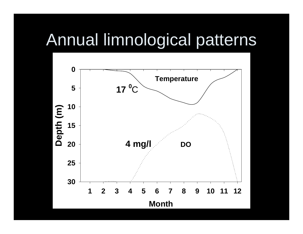### Annual limnological patterns

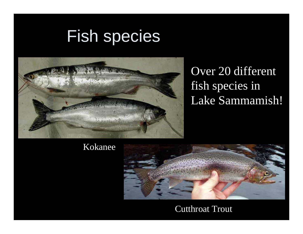### Fish species



#### Over 20 different fish species in Lake Sammamish!

#### Kokanee



#### Cutthroat Trout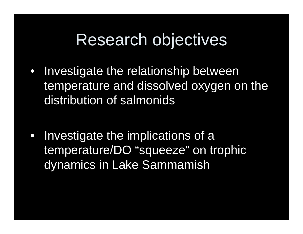#### Research objectives

- $\bullet$  Investigate the relationship between temperature and dissolved oxygen on the distribution of salmonids
- $\bullet$  Investigate the implications of a temperature/DO "squeeze" on trophic dynamics in Lake Sammamish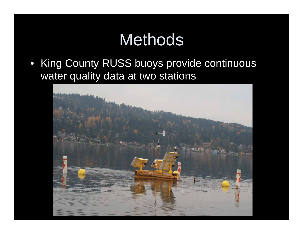• King County RUSS buoys provide continuous water quality data at two stations

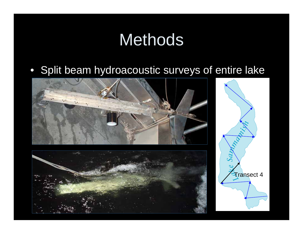• Split beam hydroacoustic surveys of entire lake





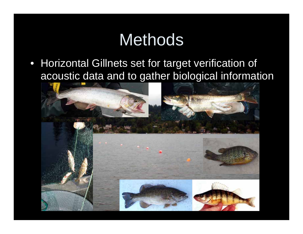• Horizontal Gillnets set for target verification of acoustic data and to gather biological information

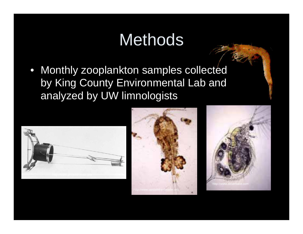• Monthly zooplankton samples collected by King County Environmental Lab and analyzed by UW limnologists







 $\overline{a}$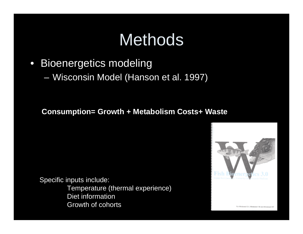- $\bullet$  Bioenergetics modeling
	- $\mathcal{L}_{\mathcal{A}}$ Wisconsin Model (Hanson et al. 1997)

**Consumption= Growth + Metabolism Costs+ Waste**

Specific inputs include:

Temperature (thermal experience) Diet information Growth of cohorts

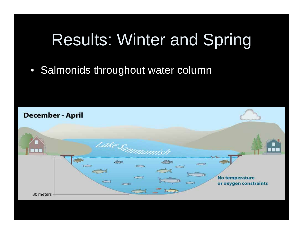## Results: Winter and Spring

#### • Salmonids throughout water column

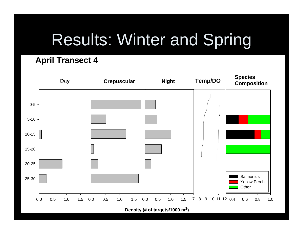## Results: Winter and Spring

#### **April Transect 4**

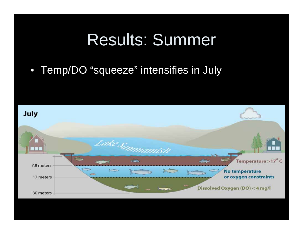### Results: Summer

#### • Temp/DO "squeeze" intensifies in July

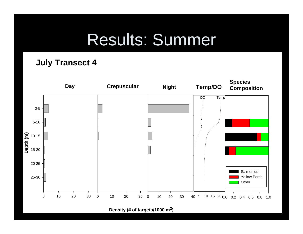## Results: Summer

#### **July Transect 4**

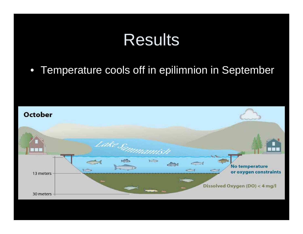#### Results

#### • Temperature cools off in epilimnion in September

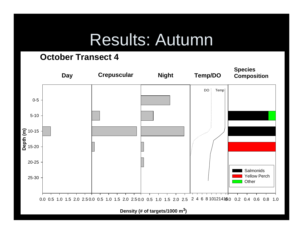#### Results: Autumn

#### **October Transect 4**

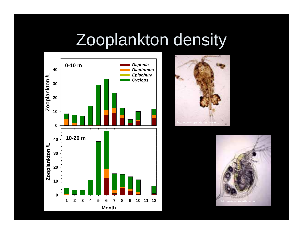### Zooplankton density





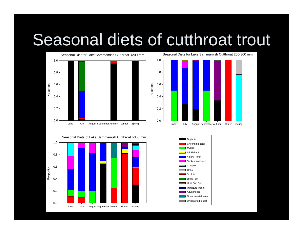## Seasonal diets of cutthroat trout

Proportion



Seasonal Diets for Lake Sammamish Cutthroat 200-300 mmJune July August September Autumn Winter Spring 0.00.2 0.40.60.8 1.0

Seasonal Diets of Lake Sammamish Cutthroat >300 mm



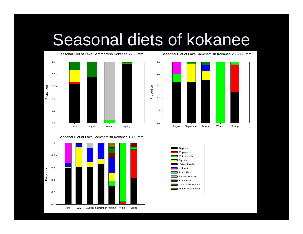## Seasonal diets of kokanee



Seasonal Diet of Lake Sammamish Kokanee >300 mm





Seasonal Diet of Lake Sammamish Kokanee 200-300 mm

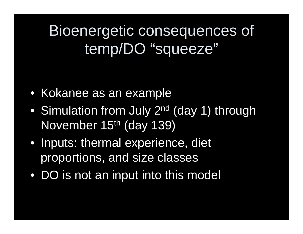#### Bioenergetic consequences of temp/DO "squeeze"

- Kokanee as an example
- $\bullet$ Simulation from July 2<sup>nd</sup> (day 1) through November 15th (day 139)
- Inputs: thermal experience, diet proportions, and size classes
- DO is not an input into this model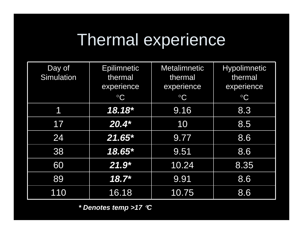# Thermal experience

| Day of<br><b>Simulation</b> | <b>Epilimnetic</b><br>thermal<br>experience<br>$\rm ^{\circ}C$ | <b>Metalimnetic</b><br>thermal<br>experience<br>$\rm ^{\circ}C$ | <b>Hypolimnetic</b><br>thermal<br>experience<br>$\rm ^{\circ}C$ |
|-----------------------------|----------------------------------------------------------------|-----------------------------------------------------------------|-----------------------------------------------------------------|
|                             |                                                                |                                                                 |                                                                 |
| 7                           | 18.18*                                                         | 9.16                                                            | 8.3                                                             |
| 17                          | $20.4*$                                                        | 10                                                              | 8.5                                                             |
| 24                          | $21.65*$                                                       | 9.77                                                            | 8.6                                                             |
| 38                          | 18.65*                                                         | 9.51                                                            | 8.6                                                             |
| 60                          | $21.9*$                                                        | $\overline{10.24}$                                              | 8.35                                                            |
| 89                          | $18.7*$                                                        | 9.91                                                            | 8.6                                                             |
| 110                         | 16.18                                                          | 10.75                                                           | 8.6                                                             |

*\* Denotes temp >17*  °*C*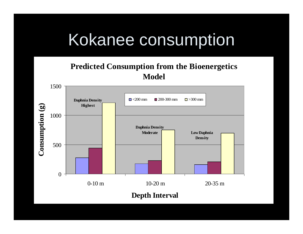## Kokanee consumption

#### **Predicted Consumption from the Bioenergetics Model**

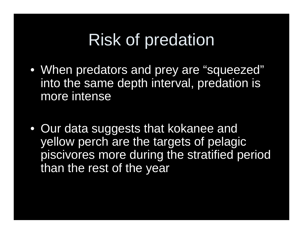## Risk of predation

- When predators and prey are "squeezed" into the same depth interval, predation is more intense
- Our data suggests that kokanee and yellow perch are the targets of pelagic piscivores more during the stratified period than the rest of the year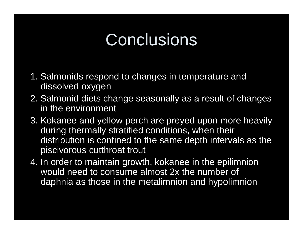### **Conclusions**

- 1. Salmonids respond to changes in temperature and dissolved oxygen
- 2. Salmonid diets change seasonally as a result of changes in the environment
- 3. Kokanee and yellow perch are preyed upon more heavily during thermally stratified conditions, when their distribution is confined to the same depth intervals as the piscivorous cutthroat trout
- 4. In order to maintain growth, kokanee in the epilimnion would need to consume almost 2x the number of daphnia as those in the metalimnion and hypolimnion